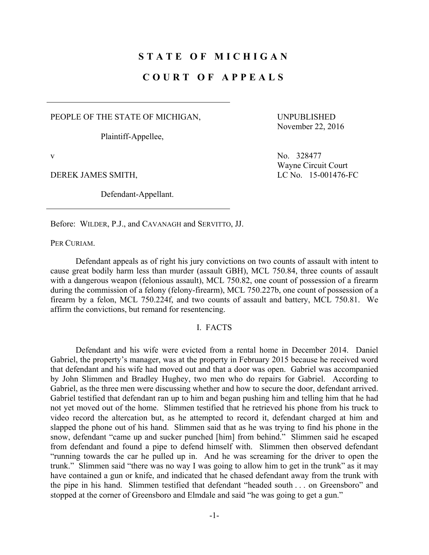# **STATE OF MICHIGAN**

# **COURT OF APPEALS**

PEOPLE OF THE STATE OF MICHIGAN,

Plaintiff-Appellee,

UNPUBLISHED November 22, 2016

Defendant-Appellant.

v No. 328477 Wayne Circuit Court DEREK JAMES SMITH, LC No. 15-001476-FC

Before: WILDER, P.J., and CAVANAGH and SERVITTO, JJ.

PER CURIAM.

 Defendant appeals as of right his jury convictions on two counts of assault with intent to cause great bodily harm less than murder (assault GBH), MCL 750.84, three counts of assault with a dangerous weapon (felonious assault), MCL 750.82, one count of possession of a firearm during the commission of a felony (felony-firearm), MCL 750.227b, one count of possession of a firearm by a felon, MCL 750.224f, and two counts of assault and battery, MCL 750.81. We affirm the convictions, but remand for resentencing.

### I. FACTS

 Defendant and his wife were evicted from a rental home in December 2014. Daniel Gabriel, the property's manager, was at the property in February 2015 because he received word that defendant and his wife had moved out and that a door was open. Gabriel was accompanied by John Slimmen and Bradley Hughey, two men who do repairs for Gabriel. According to Gabriel, as the three men were discussing whether and how to secure the door, defendant arrived. Gabriel testified that defendant ran up to him and began pushing him and telling him that he had not yet moved out of the home. Slimmen testified that he retrieved his phone from his truck to video record the altercation but, as he attempted to record it, defendant charged at him and slapped the phone out of his hand. Slimmen said that as he was trying to find his phone in the snow, defendant "came up and sucker punched [him] from behind." Slimmen said he escaped from defendant and found a pipe to defend himself with. Slimmen then observed defendant "running towards the car he pulled up in. And he was screaming for the driver to open the trunk." Slimmen said "there was no way I was going to allow him to get in the trunk" as it may have contained a gun or knife, and indicated that he chased defendant away from the trunk with the pipe in his hand. Slimmen testified that defendant "headed south . . . on Greensboro" and stopped at the corner of Greensboro and Elmdale and said "he was going to get a gun."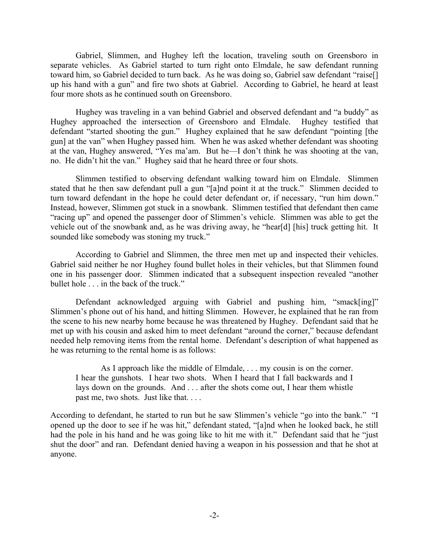Gabriel, Slimmen, and Hughey left the location, traveling south on Greensboro in separate vehicles. As Gabriel started to turn right onto Elmdale, he saw defendant running toward him, so Gabriel decided to turn back. As he was doing so, Gabriel saw defendant "raise[] up his hand with a gun" and fire two shots at Gabriel. According to Gabriel, he heard at least four more shots as he continued south on Greensboro.

 Hughey was traveling in a van behind Gabriel and observed defendant and "a buddy" as Hughey approached the intersection of Greensboro and Elmdale. Hughey testified that defendant "started shooting the gun." Hughey explained that he saw defendant "pointing [the gun] at the van" when Hughey passed him. When he was asked whether defendant was shooting at the van, Hughey answered, "Yes ma'am. But he—I don't think he was shooting at the van, no. He didn't hit the van." Hughey said that he heard three or four shots.

 Slimmen testified to observing defendant walking toward him on Elmdale. Slimmen stated that he then saw defendant pull a gun "[a]nd point it at the truck." Slimmen decided to turn toward defendant in the hope he could deter defendant or, if necessary, "run him down." Instead, however, Slimmen got stuck in a snowbank. Slimmen testified that defendant then came "racing up" and opened the passenger door of Slimmen's vehicle. Slimmen was able to get the vehicle out of the snowbank and, as he was driving away, he "hear[d] [his] truck getting hit. It sounded like somebody was stoning my truck."

 According to Gabriel and Slimmen, the three men met up and inspected their vehicles. Gabriel said neither he nor Hughey found bullet holes in their vehicles, but that Slimmen found one in his passenger door. Slimmen indicated that a subsequent inspection revealed "another bullet hole . . . in the back of the truck."

 Defendant acknowledged arguing with Gabriel and pushing him, "smack[ing]" Slimmen's phone out of his hand, and hitting Slimmen. However, he explained that he ran from the scene to his new nearby home because he was threatened by Hughey. Defendant said that he met up with his cousin and asked him to meet defendant "around the corner," because defendant needed help removing items from the rental home. Defendant's description of what happened as he was returning to the rental home is as follows:

 As I approach like the middle of Elmdale, . . . my cousin is on the corner. I hear the gunshots. I hear two shots. When I heard that I fall backwards and I lays down on the grounds. And . . . after the shots come out, I hear them whistle past me, two shots. Just like that. . . .

According to defendant, he started to run but he saw Slimmen's vehicle "go into the bank." "I opened up the door to see if he was hit," defendant stated, "[a]nd when he looked back, he still had the pole in his hand and he was going like to hit me with it." Defendant said that he "just shut the door" and ran. Defendant denied having a weapon in his possession and that he shot at anyone.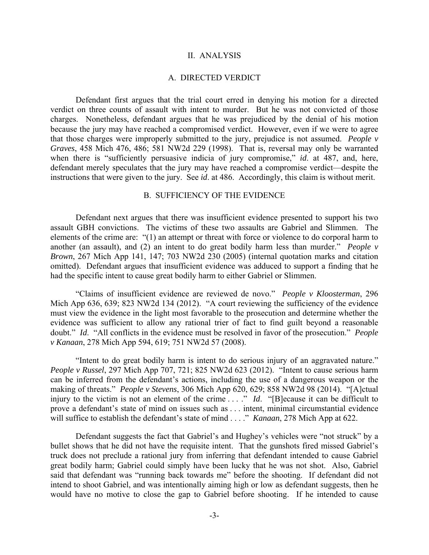#### II. ANALYSIS

### A. DIRECTED VERDICT

 Defendant first argues that the trial court erred in denying his motion for a directed verdict on three counts of assault with intent to murder. But he was not convicted of those charges. Nonetheless, defendant argues that he was prejudiced by the denial of his motion because the jury may have reached a compromised verdict. However, even if we were to agree that those charges were improperly submitted to the jury, prejudice is not assumed. *People v Graves*, 458 Mich 476, 486; 581 NW2d 229 (1998). That is, reversal may only be warranted when there is "sufficiently persuasive indicia of jury compromise," *id*. at 487, and, here, defendant merely speculates that the jury may have reached a compromise verdict—despite the instructions that were given to the jury. See *id*. at 486. Accordingly, this claim is without merit.

#### B. SUFFICIENCY OF THE EVIDENCE

 Defendant next argues that there was insufficient evidence presented to support his two assault GBH convictions. The victims of these two assaults are Gabriel and Slimmen. The elements of the crime are: "(1) an attempt or threat with force or violence to do corporal harm to another (an assault), and (2) an intent to do great bodily harm less than murder." *People v Brown*, 267 Mich App 141, 147; 703 NW2d 230 (2005) (internal quotation marks and citation omitted). Defendant argues that insufficient evidence was adduced to support a finding that he had the specific intent to cause great bodily harm to either Gabriel or Slimmen.

 "Claims of insufficient evidence are reviewed de novo." *People v Kloosterman*, 296 Mich App 636, 639; 823 NW2d 134 (2012). "A court reviewing the sufficiency of the evidence must view the evidence in the light most favorable to the prosecution and determine whether the evidence was sufficient to allow any rational trier of fact to find guilt beyond a reasonable doubt." *Id*. "All conflicts in the evidence must be resolved in favor of the prosecution." *People v Kanaan*, 278 Mich App 594, 619; 751 NW2d 57 (2008).

 "Intent to do great bodily harm is intent to do serious injury of an aggravated nature." *People v Russel*, 297 Mich App 707, 721; 825 NW2d 623 (2012). "Intent to cause serious harm can be inferred from the defendant's actions, including the use of a dangerous weapon or the making of threats." *People v Stevens*, 306 Mich App 620, 629; 858 NW2d 98 (2014). "[A]ctual injury to the victim is not an element of the crime . . ." *Id*. "[B]ecause it can be difficult to prove a defendant's state of mind on issues such as . . . intent, minimal circumstantial evidence will suffice to establish the defendant's state of mind . . . ." *Kanaan*, 278 Mich App at 622.

 Defendant suggests the fact that Gabriel's and Hughey's vehicles were "not struck" by a bullet shows that he did not have the requisite intent. That the gunshots fired missed Gabriel's truck does not preclude a rational jury from inferring that defendant intended to cause Gabriel great bodily harm; Gabriel could simply have been lucky that he was not shot. Also, Gabriel said that defendant was "running back towards me" before the shooting. If defendant did not intend to shoot Gabriel, and was intentionally aiming high or low as defendant suggests, then he would have no motive to close the gap to Gabriel before shooting. If he intended to cause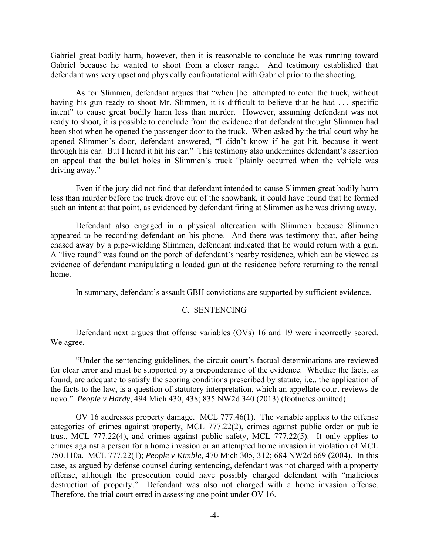Gabriel great bodily harm, however, then it is reasonable to conclude he was running toward Gabriel because he wanted to shoot from a closer range. And testimony established that defendant was very upset and physically confrontational with Gabriel prior to the shooting.

 As for Slimmen, defendant argues that "when [he] attempted to enter the truck, without having his gun ready to shoot Mr. Slimmen, it is difficult to believe that he had ... specific intent" to cause great bodily harm less than murder. However, assuming defendant was not ready to shoot, it is possible to conclude from the evidence that defendant thought Slimmen had been shot when he opened the passenger door to the truck. When asked by the trial court why he opened Slimmen's door, defendant answered, "I didn't know if he got hit, because it went through his car. But I heard it hit his car." This testimony also undermines defendant's assertion on appeal that the bullet holes in Slimmen's truck "plainly occurred when the vehicle was driving away."

 Even if the jury did not find that defendant intended to cause Slimmen great bodily harm less than murder before the truck drove out of the snowbank, it could have found that he formed such an intent at that point, as evidenced by defendant firing at Slimmen as he was driving away.

 Defendant also engaged in a physical altercation with Slimmen because Slimmen appeared to be recording defendant on his phone. And there was testimony that, after being chased away by a pipe-wielding Slimmen, defendant indicated that he would return with a gun. A "live round" was found on the porch of defendant's nearby residence, which can be viewed as evidence of defendant manipulating a loaded gun at the residence before returning to the rental home.

In summary, defendant's assault GBH convictions are supported by sufficient evidence.

## C. SENTENCING

 Defendant next argues that offense variables (OVs) 16 and 19 were incorrectly scored. We agree.

 "Under the sentencing guidelines, the circuit court's factual determinations are reviewed for clear error and must be supported by a preponderance of the evidence. Whether the facts, as found, are adequate to satisfy the scoring conditions prescribed by statute, i.e., the application of the facts to the law, is a question of statutory interpretation, which an appellate court reviews de novo." *People v Hardy*, 494 Mich 430, 438; 835 NW2d 340 (2013) (footnotes omitted).

 OV 16 addresses property damage. MCL 777.46(1). The variable applies to the offense categories of crimes against property, MCL 777.22(2), crimes against public order or public trust, MCL 777.22(4), and crimes against public safety, MCL 777.22(5). It only applies to crimes against a person for a home invasion or an attempted home invasion in violation of MCL 750.110a. MCL 777.22(1); *People v Kimble*, 470 Mich 305, 312; 684 NW2d 669 (2004). In this case, as argued by defense counsel during sentencing, defendant was not charged with a property offense, although the prosecution could have possibly charged defendant with "malicious destruction of property." Defendant was also not charged with a home invasion offense. Therefore, the trial court erred in assessing one point under OV 16.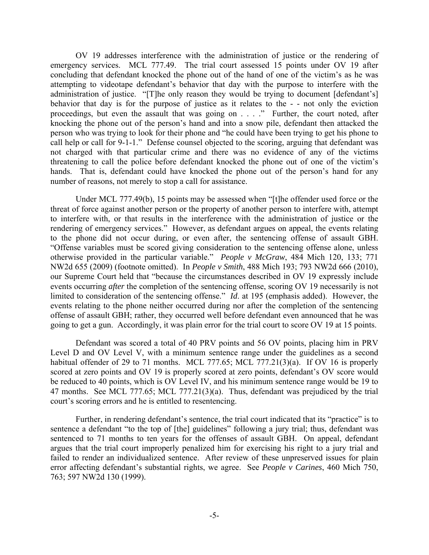OV 19 addresses interference with the administration of justice or the rendering of emergency services. MCL 777.49. The trial court assessed 15 points under OV 19 after concluding that defendant knocked the phone out of the hand of one of the victim's as he was attempting to videotape defendant's behavior that day with the purpose to interfere with the administration of justice. "[T]he only reason they would be trying to document [defendant's] behavior that day is for the purpose of justice as it relates to the - - not only the eviction proceedings, but even the assault that was going on . . . ." Further, the court noted, after knocking the phone out of the person's hand and into a snow pile, defendant then attacked the person who was trying to look for their phone and "he could have been trying to get his phone to call help or call for 9-1-1." Defense counsel objected to the scoring, arguing that defendant was not charged with that particular crime and there was no evidence of any of the victims threatening to call the police before defendant knocked the phone out of one of the victim's hands. That is, defendant could have knocked the phone out of the person's hand for any number of reasons, not merely to stop a call for assistance.

 Under MCL 777.49(b), 15 points may be assessed when "[t]he offender used force or the threat of force against another person or the property of another person to interfere with, attempt to interfere with, or that results in the interference with the administration of justice or the rendering of emergency services." However, as defendant argues on appeal, the events relating to the phone did not occur during, or even after, the sentencing offense of assault GBH. "Offense variables must be scored giving consideration to the sentencing offense alone, unless otherwise provided in the particular variable." *People v McGraw*, 484 Mich 120, 133; 771 NW2d 655 (2009) (footnote omitted). In *People v Smith*, 488 Mich 193; 793 NW2d 666 (2010), our Supreme Court held that "because the circumstances described in OV 19 expressly include events occurring *after* the completion of the sentencing offense, scoring OV 19 necessarily is not limited to consideration of the sentencing offense." *Id*. at 195 (emphasis added). However, the events relating to the phone neither occurred during nor after the completion of the sentencing offense of assault GBH; rather, they occurred well before defendant even announced that he was going to get a gun. Accordingly, it was plain error for the trial court to score OV 19 at 15 points.

 Defendant was scored a total of 40 PRV points and 56 OV points, placing him in PRV Level D and OV Level V, with a minimum sentence range under the guidelines as a second habitual offender of 29 to 71 months. MCL 777.65; MCL 777.21(3)(a). If OV 16 is properly scored at zero points and OV 19 is properly scored at zero points, defendant's OV score would be reduced to 40 points, which is OV Level IV, and his minimum sentence range would be 19 to 47 months. See MCL 777.65; MCL 777.21(3)(a). Thus, defendant was prejudiced by the trial court's scoring errors and he is entitled to resentencing.

 Further, in rendering defendant's sentence, the trial court indicated that its "practice" is to sentence a defendant "to the top of [the] guidelines" following a jury trial; thus, defendant was sentenced to 71 months to ten years for the offenses of assault GBH. On appeal, defendant argues that the trial court improperly penalized him for exercising his right to a jury trial and failed to render an individualized sentence. After review of these unpreserved issues for plain error affecting defendant's substantial rights, we agree. See *People v Carines*, 460 Mich 750, 763; 597 NW2d 130 (1999).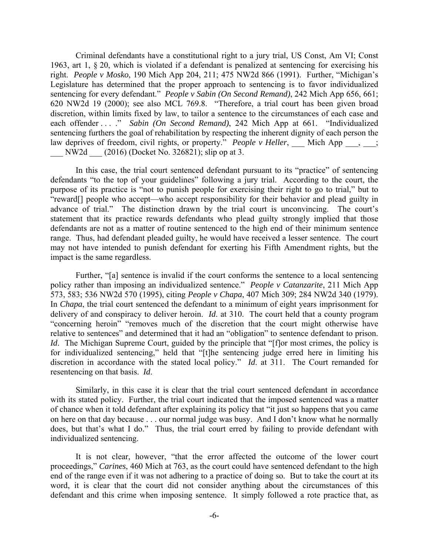Criminal defendants have a constitutional right to a jury trial, US Const, Am VI; Const 1963, art 1, § 20, which is violated if a defendant is penalized at sentencing for exercising his right. *People v Mosko*, 190 Mich App 204, 211; 475 NW2d 866 (1991). Further, "Michigan's Legislature has determined that the proper approach to sentencing is to favor individualized sentencing for every defendant." *People v Sabin (On Second Remand)*, 242 Mich App 656, 661; 620 NW2d 19 (2000); see also MCL 769.8. "Therefore, a trial court has been given broad discretion, within limits fixed by law, to tailor a sentence to the circumstances of each case and each offender . . . ." *Sabin (On Second Remand)*, 242 Mich App at 661. "Individualized sentencing furthers the goal of rehabilitation by respecting the inherent dignity of each person the law deprives of freedom, civil rights, or property." *People v Heller*, Mich App  $\cdot$ ,  $\cdot$ ; NW2d (2016) (Docket No. 326821); slip op at 3.

 In this case, the trial court sentenced defendant pursuant to its "practice" of sentencing defendants "to the top of your guidelines" following a jury trial. According to the court, the purpose of its practice is "not to punish people for exercising their right to go to trial," but to "reward[] people who accept—who accept responsibility for their behavior and plead guilty in advance of trial." The distinction drawn by the trial court is unconvincing. The court's statement that its practice rewards defendants who plead guilty strongly implied that those defendants are not as a matter of routine sentenced to the high end of their minimum sentence range. Thus, had defendant pleaded guilty, he would have received a lesser sentence. The court may not have intended to punish defendant for exerting his Fifth Amendment rights, but the impact is the same regardless.

Further, "[a] sentence is invalid if the court conforms the sentence to a local sentencing policy rather than imposing an individualized sentence." *People v Catanzarite*, 211 Mich App 573, 583; 536 NW2d 570 (1995), citing *People v Chapa*, 407 Mich 309; 284 NW2d 340 (1979). In *Chapa*, the trial court sentenced the defendant to a minimum of eight years imprisonment for delivery of and conspiracy to deliver heroin. *Id*. at 310. The court held that a county program "concerning heroin" "removes much of the discretion that the court might otherwise have relative to sentences" and determined that it had an "obligation" to sentence defendant to prison. *Id.* The Michigan Supreme Court, guided by the principle that "[f]or most crimes, the policy is for individualized sentencing," held that "[t]he sentencing judge erred here in limiting his discretion in accordance with the stated local policy." *Id*. at 311. The Court remanded for resentencing on that basis. *Id*.

 Similarly, in this case it is clear that the trial court sentenced defendant in accordance with its stated policy. Further, the trial court indicated that the imposed sentenced was a matter of chance when it told defendant after explaining its policy that "it just so happens that you came on here on that day because . . . our normal judge was busy. And I don't know what he normally does, but that's what I do." Thus, the trial court erred by failing to provide defendant with individualized sentencing.

 It is not clear, however, "that the error affected the outcome of the lower court proceedings," *Carines*, 460 Mich at 763, as the court could have sentenced defendant to the high end of the range even if it was not adhering to a practice of doing so. But to take the court at its word, it is clear that the court did not consider anything about the circumstances of this defendant and this crime when imposing sentence. It simply followed a rote practice that, as